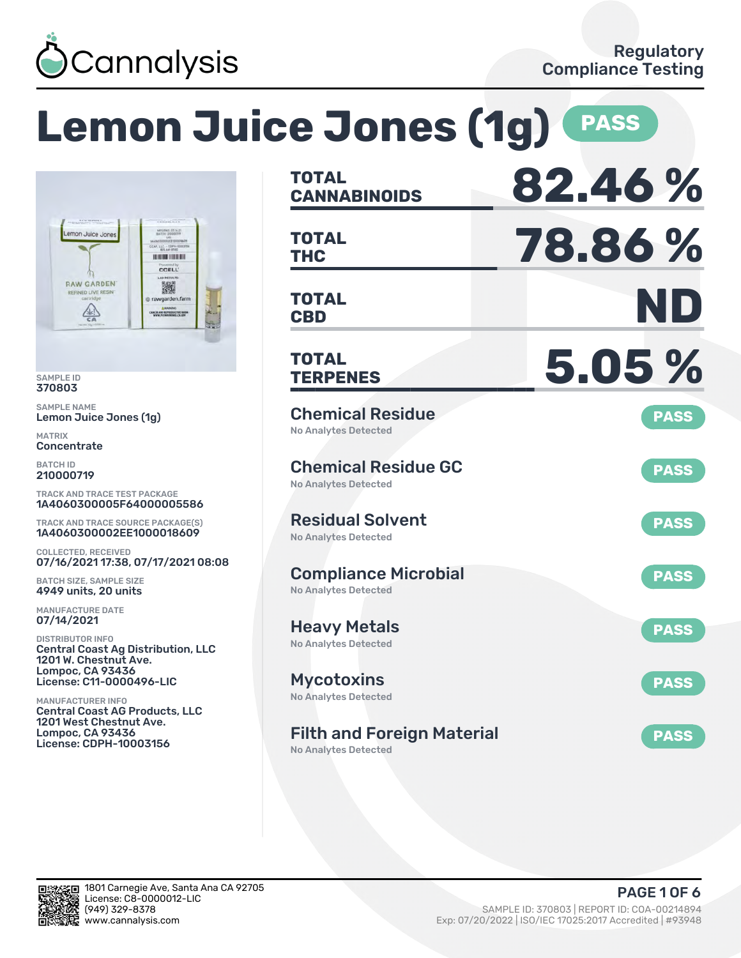

#### **Lemon Juice Jones (1g) CANNABINOIDS 82.46 % TOTAL THC 78.86 % TOTAL** LLC - COPY **HINDHEIM CCELL** 撇 **CBD ND** wgarden.farm **TOTAL** ANCER AND REPRODUCTIVE NAM **TERPENES 5.05 % TOTAL** Chemical Residue Lemon Juice Jones (1g) **PASS** No Analytes Detected Chemical Residue GC **PASS** No Analytes Detected TRACK AND TRACE TEST PACKAGE 1A4060300005F64000005586 Residual Solvent TRACK AND TRACE SOURCE PACKAGE(S) **PASS** 1A4060300002EE1000018609 No Analytes Detected 07/16/2021 17:38, 07/17/2021 08:08 Compliance Microbial **PASS** BATCH SIZE, SAMPLE SIZE No Analytes Detected 4949 units, 20 units Heavy Metals **PASS** No Analytes Detected Central Coast Ag Distribution, LLC 1201 W. Chestnut Ave. Lompoc, CA 93436 License: C11-0000496-LIC Mycotoxins **PASS** No Analytes Detected Central Coast AG Products, LLC 1201 West Chestnut Ave. Lompoc, CA 93436 Filth and Foreign Material **PASS** License: CDPH-10003156

No Analytes Detected



SAMPLE ID 370803 SAMPLE NAME

mon Juice Jones

**RAW GARDEN** 

 $\frac{\sqrt{2}}{2}$ 

ED LIVE RE

MATRIX **Concentrate** BATCH ID 210000719

COLLECTED, RECEIVED

MANUFACTURE DATE 07/14/2021 DISTRIBUTOR INFO

MANUFACTURER INFO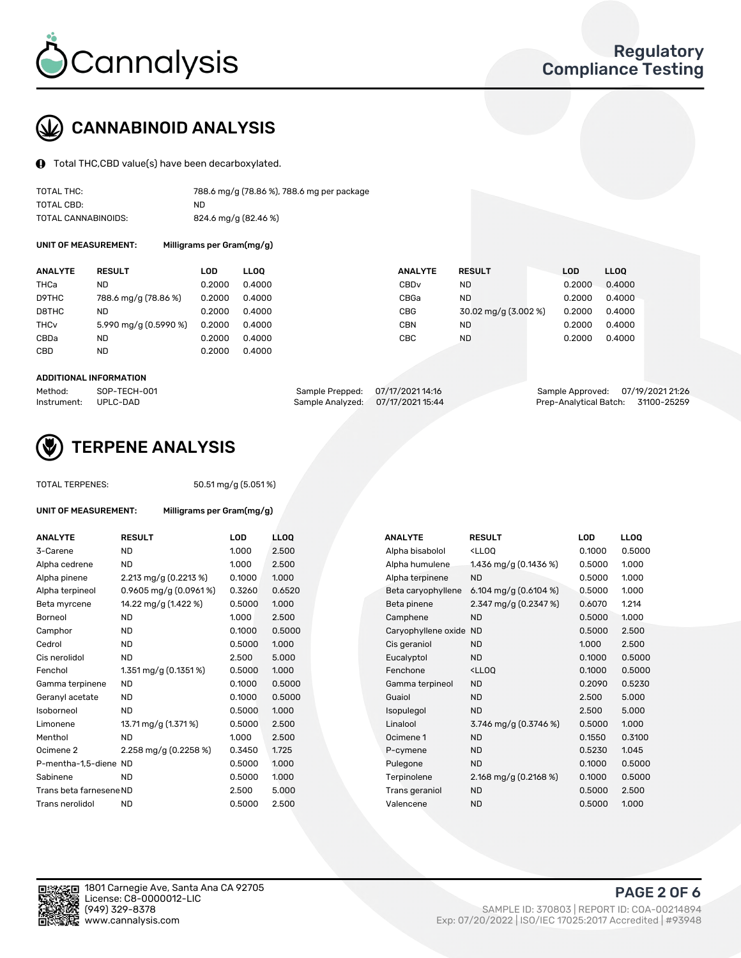

# CANNABINOID ANALYSIS

Total THC,CBD value(s) have been decarboxylated.

| TOTAL THC:          | 788.6 mg/g (78.86 %), 788.6 mg per package |
|---------------------|--------------------------------------------|
| TOTAL CBD:          | ND.                                        |
| TOTAL CANNABINOIDS: | 824.6 mg/g (82.46 %)                       |

UNIT OF MEASUREMENT: Milligrams per Gram(mg/g)

| <b>ANALYTE</b>         | <b>RESULT</b>         | LOD    | <b>LLOO</b> | <b>ANALYTE</b>   | <b>RESULT</b>        | <b>LOD</b> | <b>LLOO</b> |
|------------------------|-----------------------|--------|-------------|------------------|----------------------|------------|-------------|
| THCa                   | ND                    | 0.2000 | 0.4000      | CBD <sub>v</sub> | ND                   | 0.2000     | 0.4000      |
| D9THC                  | 788.6 mg/g (78.86 %)  | 0.2000 | 0.4000      | CBGa             | ND                   | 0.2000     | 0.4000      |
| D8THC                  | ND                    | 0.2000 | 0.4000      | CBG              | 30.02 mg/g (3.002 %) | 0.2000     | 0.4000      |
| <b>THC<sub>v</sub></b> | 5.990 mg/g (0.5990 %) | 0.2000 | 0.4000      | CBN              | ND                   | 0.2000     | 0.4000      |
| CBDa                   | <b>ND</b>             | 0.2000 | 0.4000      | CBC              | <b>ND</b>            | 0.2000     | 0.4000      |
| <b>CBD</b>             | <b>ND</b>             | 0.2000 | 0.4000      |                  |                      |            |             |

#### ADDITIONAL INFORMATION

| Method:              | SOP-TECH-001 | Sample Prepped: 07/17/2021 14:16  | Sample Approved: 07/19/2021 21:26  |  |
|----------------------|--------------|-----------------------------------|------------------------------------|--|
| Instrument: UPLC-DAD |              | Sample Analyzed: 07/17/2021 15:44 | Prep-Analytical Batch: 31100-25259 |  |



### TERPENE ANALYSIS

TOTAL TERPENES: 50.51 mg/g (5.051 %)

| UNIT OF MEASUREMENT:    |                          | Milligrams per Gram(mg/g) |       |  |  |  |
|-------------------------|--------------------------|---------------------------|-------|--|--|--|
| <b>ANALYTE</b>          | <b>RESULT</b>            | LOD                       | LLOC  |  |  |  |
| 3-Carene                | <b>ND</b>                | 1.000                     | 2.500 |  |  |  |
| Alpha cedrene           | <b>ND</b>                | 1.000                     | 2.500 |  |  |  |
| Alpha pinene            | 2.213 mg/g $(0.2213 \%)$ | 0.1000                    | 1.000 |  |  |  |
| Alpha terpineol         | 0.9605 mg/g (0.0961%)    | 0.3260                    | 0.65  |  |  |  |
| Beta myrcene            | 14.22 mg/g (1.422 %)     | 0.5000                    | 1.000 |  |  |  |
| Borneol                 | <b>ND</b>                | 1.000                     | 2.50  |  |  |  |
| Camphor                 | <b>ND</b>                | 0.1000                    | 0.50( |  |  |  |
| Cedrol                  | <b>ND</b>                | 0.5000                    | 1.000 |  |  |  |
| Cis nerolidol           | <b>ND</b>                | 2.500                     | 5.00( |  |  |  |
| Fenchol                 | 1.351 mg/g $(0.1351\%)$  | 0.5000                    | 1.000 |  |  |  |
| Gamma terpinene         | <b>ND</b>                | 0.1000                    | 0.50( |  |  |  |
| Geranyl acetate         | <b>ND</b>                | 0.1000                    | 0.50( |  |  |  |
| Isoborneol              | <b>ND</b>                | 0.5000                    | 1.000 |  |  |  |
| Limonene                | 13.71 mg/g (1.371 %)     | 0.5000                    | 2.50  |  |  |  |
| Menthol                 | ND                       | 1.000                     | 2.50  |  |  |  |
| Ocimene <sub>2</sub>    | 2.258 mg/g $(0.2258\%)$  | 0.3450                    | 1.725 |  |  |  |
| P-mentha-1,5-diene ND   |                          | 0.5000                    | 1.000 |  |  |  |
| Sabinene                | <b>ND</b>                | 0.5000                    | 1.000 |  |  |  |
| Trans beta farnesene ND |                          | 2.500                     | 5.00  |  |  |  |
| Trans nerolidol         | ND                       | 0.5000                    | 2.50  |  |  |  |

| <b>ANALYTE</b>          | <b>RESULT</b>              | <b>LOD</b> | <b>LLOQ</b> | <b>ANALYTE</b>         | <b>RESULT</b>                                       | <b>LOD</b> | <b>LLOQ</b> |
|-------------------------|----------------------------|------------|-------------|------------------------|-----------------------------------------------------|------------|-------------|
| 3-Carene                | <b>ND</b>                  | 1.000      | 2.500       | Alpha bisabolol        | <lloq< td=""><td>0.1000</td><td>0.5000</td></lloq<> | 0.1000     | 0.5000      |
| Alpha cedrene           | <b>ND</b>                  | 1.000      | 2.500       | Alpha humulene         | 1.436 mg/g (0.1436 %)                               | 0.5000     | 1.000       |
| Alpha pinene            | 2.213 mg/g $(0.2213 \%)$   | 0.1000     | 1.000       | Alpha terpinene        | <b>ND</b>                                           | 0.5000     | 1.000       |
| Alpha terpineol         | $0.9605$ mg/g $(0.0961\%)$ | 0.3260     | 0.6520      | Beta caryophyllene     | 6.104 mg/g $(0.6104\%)$                             | 0.5000     | 1.000       |
| Beta myrcene            | 14.22 mg/g (1.422 %)       | 0.5000     | 1.000       | Beta pinene            | 2.347 mg/g $(0.2347%)$                              | 0.6070     | 1.214       |
| Borneol                 | <b>ND</b>                  | 1.000      | 2.500       | Camphene               | <b>ND</b>                                           | 0.5000     | 1.000       |
| Camphor                 | <b>ND</b>                  | 0.1000     | 0.5000      | Caryophyllene oxide ND |                                                     | 0.5000     | 2.500       |
| Cedrol                  | <b>ND</b>                  | 0.5000     | 1.000       | Cis geraniol           | <b>ND</b>                                           | 1.000      | 2.500       |
| Cis nerolidol           | <b>ND</b>                  | 2.500      | 5.000       | Eucalyptol             | <b>ND</b>                                           | 0.1000     | 0.5000      |
| Fenchol                 | 1.351 mg/g $(0.1351\%)$    | 0.5000     | 1.000       | Fenchone               | <lloq< td=""><td>0.1000</td><td>0.5000</td></lloq<> | 0.1000     | 0.5000      |
| Gamma terpinene         | <b>ND</b>                  | 0.1000     | 0.5000      | Gamma terpineol        | <b>ND</b>                                           | 0.2090     | 0.5230      |
| Geranyl acetate         | <b>ND</b>                  | 0.1000     | 0.5000      | Guaiol                 | <b>ND</b>                                           | 2.500      | 5.000       |
| Isoborneol              | <b>ND</b>                  | 0.5000     | 1.000       | Isopulegol             | <b>ND</b>                                           | 2.500      | 5.000       |
| Limonene                | 13.71 mg/g (1.371 %)       | 0.5000     | 2.500       | Linalool               | 3.746 mg/g $(0.3746\%)$                             | 0.5000     | 1.000       |
| Menthol                 | <b>ND</b>                  | 1.000      | 2.500       | Ocimene 1              | <b>ND</b>                                           | 0.1550     | 0.3100      |
| Ocimene 2               | 2.258 mg/g $(0.2258\%)$    | 0.3450     | 1.725       | P-cymene               | <b>ND</b>                                           | 0.5230     | 1.045       |
| P-mentha-1,5-diene ND   |                            | 0.5000     | 1.000       | Pulegone               | <b>ND</b>                                           | 0.1000     | 0.5000      |
| Sabinene                | <b>ND</b>                  | 0.5000     | 1.000       | Terpinolene            | 2.168 mg/g $(0.2168\%)$                             | 0.1000     | 0.5000      |
| Trans beta farnesene ND |                            | 2.500      | 5.000       | Trans geraniol         | <b>ND</b>                                           | 0.5000     | 2.500       |
| Trans nerolidol         | <b>ND</b>                  | 0.5000     | 2.500       | Valencene              | <b>ND</b>                                           | 0.5000     | 1.000       |

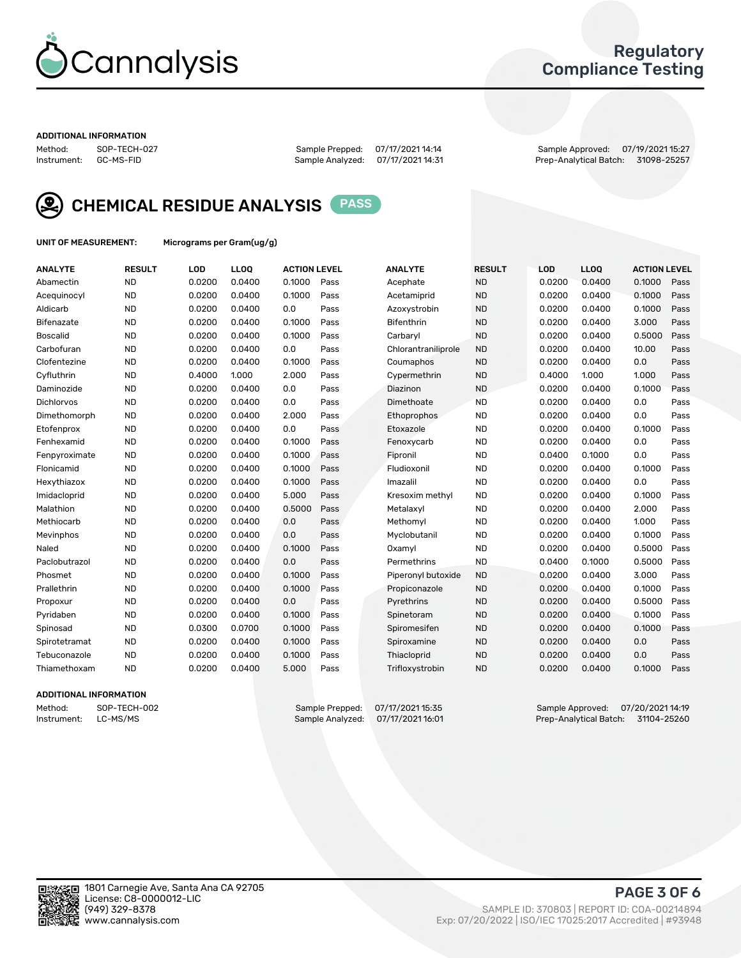

### Regulatory Compliance Testing

#### ADDITIONAL INFORMATION

Method: SOP-TECH-027 Sample Prepped: 07/17/2021 14:14 Sample Approved: 07/19/2021 15:27 Prep-Analytical Batch: 31098-25257



CHEMICAL RESIDUE ANALYSIS PASS

UNIT OF MEASUREMENT: Micrograms per Gram(ug/g)

| <b>ANALYTE</b>    | <b>RESULT</b> | LOD    | <b>LLOQ</b> | <b>ACTION LEVEL</b> |      | <b>ANALYTE</b>      | <b>RESULT</b> | <b>LOD</b> | <b>LLOQ</b> | <b>ACTION LEVEL</b> |      |
|-------------------|---------------|--------|-------------|---------------------|------|---------------------|---------------|------------|-------------|---------------------|------|
| Abamectin         | <b>ND</b>     | 0.0200 | 0.0400      | 0.1000              | Pass | Acephate            | <b>ND</b>     | 0.0200     | 0.0400      | 0.1000              | Pass |
| Acequinocyl       | <b>ND</b>     | 0.0200 | 0.0400      | 0.1000              | Pass | Acetamiprid         | <b>ND</b>     | 0.0200     | 0.0400      | 0.1000              | Pass |
| Aldicarb          | <b>ND</b>     | 0.0200 | 0.0400      | 0.0                 | Pass | Azoxystrobin        | <b>ND</b>     | 0.0200     | 0.0400      | 0.1000              | Pass |
| Bifenazate        | <b>ND</b>     | 0.0200 | 0.0400      | 0.1000              | Pass | <b>Bifenthrin</b>   | <b>ND</b>     | 0.0200     | 0.0400      | 3.000               | Pass |
| <b>Boscalid</b>   | <b>ND</b>     | 0.0200 | 0.0400      | 0.1000              | Pass | Carbarvl            | <b>ND</b>     | 0.0200     | 0.0400      | 0.5000              | Pass |
| Carbofuran        | <b>ND</b>     | 0.0200 | 0.0400      | 0.0                 | Pass | Chlorantraniliprole | <b>ND</b>     | 0.0200     | 0.0400      | 10.00               | Pass |
| Clofentezine      | <b>ND</b>     | 0.0200 | 0.0400      | 0.1000              | Pass | Coumaphos           | <b>ND</b>     | 0.0200     | 0.0400      | 0.0                 | Pass |
| Cyfluthrin        | <b>ND</b>     | 0.4000 | 1.000       | 2.000               | Pass | Cypermethrin        | <b>ND</b>     | 0.4000     | 1.000       | 1.000               | Pass |
| Daminozide        | <b>ND</b>     | 0.0200 | 0.0400      | 0.0                 | Pass | Diazinon            | <b>ND</b>     | 0.0200     | 0.0400      | 0.1000              | Pass |
| <b>Dichlorvos</b> | <b>ND</b>     | 0.0200 | 0.0400      | 0.0                 | Pass | Dimethoate          | <b>ND</b>     | 0.0200     | 0.0400      | 0.0                 | Pass |
| Dimethomorph      | <b>ND</b>     | 0.0200 | 0.0400      | 2.000               | Pass | <b>Ethoprophos</b>  | <b>ND</b>     | 0.0200     | 0.0400      | 0.0                 | Pass |
| Etofenprox        | <b>ND</b>     | 0.0200 | 0.0400      | 0.0                 | Pass | Etoxazole           | <b>ND</b>     | 0.0200     | 0.0400      | 0.1000              | Pass |
| Fenhexamid        | <b>ND</b>     | 0.0200 | 0.0400      | 0.1000              | Pass | Fenoxycarb          | <b>ND</b>     | 0.0200     | 0.0400      | 0.0                 | Pass |
| Fenpyroximate     | <b>ND</b>     | 0.0200 | 0.0400      | 0.1000              | Pass | Fipronil            | <b>ND</b>     | 0.0400     | 0.1000      | 0.0                 | Pass |
| Flonicamid        | <b>ND</b>     | 0.0200 | 0.0400      | 0.1000              | Pass | Fludioxonil         | <b>ND</b>     | 0.0200     | 0.0400      | 0.1000              | Pass |
| Hexythiazox       | <b>ND</b>     | 0.0200 | 0.0400      | 0.1000              | Pass | Imazalil            | <b>ND</b>     | 0.0200     | 0.0400      | 0.0                 | Pass |
| Imidacloprid      | <b>ND</b>     | 0.0200 | 0.0400      | 5.000               | Pass | Kresoxim methyl     | <b>ND</b>     | 0.0200     | 0.0400      | 0.1000              | Pass |
| Malathion         | <b>ND</b>     | 0.0200 | 0.0400      | 0.5000              | Pass | Metalaxyl           | <b>ND</b>     | 0.0200     | 0.0400      | 2.000               | Pass |
| Methiocarb        | <b>ND</b>     | 0.0200 | 0.0400      | 0.0                 | Pass | Methomyl            | <b>ND</b>     | 0.0200     | 0.0400      | 1.000               | Pass |
| Mevinphos         | <b>ND</b>     | 0.0200 | 0.0400      | 0.0                 | Pass | Myclobutanil        | <b>ND</b>     | 0.0200     | 0.0400      | 0.1000              | Pass |
| Naled             | <b>ND</b>     | 0.0200 | 0.0400      | 0.1000              | Pass | Oxamyl              | <b>ND</b>     | 0.0200     | 0.0400      | 0.5000              | Pass |
| Paclobutrazol     | <b>ND</b>     | 0.0200 | 0.0400      | 0.0                 | Pass | Permethrins         | <b>ND</b>     | 0.0400     | 0.1000      | 0.5000              | Pass |
| Phosmet           | <b>ND</b>     | 0.0200 | 0.0400      | 0.1000              | Pass | Piperonyl butoxide  | <b>ND</b>     | 0.0200     | 0.0400      | 3.000               | Pass |
| Prallethrin       | <b>ND</b>     | 0.0200 | 0.0400      | 0.1000              | Pass | Propiconazole       | <b>ND</b>     | 0.0200     | 0.0400      | 0.1000              | Pass |
| Propoxur          | <b>ND</b>     | 0.0200 | 0.0400      | 0.0                 | Pass | Pyrethrins          | <b>ND</b>     | 0.0200     | 0.0400      | 0.5000              | Pass |
| Pyridaben         | <b>ND</b>     | 0.0200 | 0.0400      | 0.1000              | Pass | Spinetoram          | <b>ND</b>     | 0.0200     | 0.0400      | 0.1000              | Pass |
| Spinosad          | <b>ND</b>     | 0.0300 | 0.0700      | 0.1000              | Pass | Spiromesifen        | <b>ND</b>     | 0.0200     | 0.0400      | 0.1000              | Pass |
| Spirotetramat     | <b>ND</b>     | 0.0200 | 0.0400      | 0.1000              | Pass | Spiroxamine         | <b>ND</b>     | 0.0200     | 0.0400      | 0.0                 | Pass |
| Tebuconazole      | <b>ND</b>     | 0.0200 | 0.0400      | 0.1000              | Pass | Thiacloprid         | <b>ND</b>     | 0.0200     | 0.0400      | 0.0                 | Pass |
| Thiamethoxam      | <b>ND</b>     | 0.0200 | 0.0400      | 5.000               | Pass | Trifloxystrobin     | <b>ND</b>     | 0.0200     | 0.0400      | 0.1000              | Pass |

### ADDITIONAL INFORMATION

Method: SOP-TECH-002 Sample Prepped: 07/17/2021 15:35 Sample Approved: 07/20/2021 14:19<br>Instrument: LC-MS/MS Sample Analyzed: 07/17/2021 16:01 Prep-Analytical Batch: 31104-25260 Prep-Analytical Batch: 31104-25260

PAGE 3 OF 6

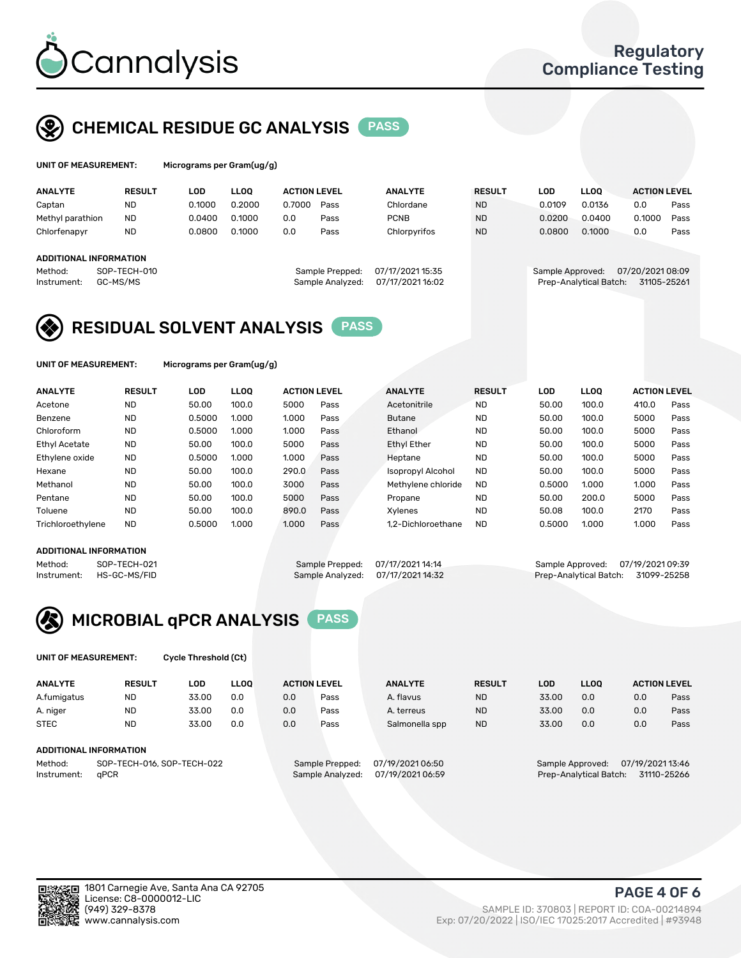

## CHEMICAL RESIDUE GC ANALYSIS PASS

| UNIT OF MEASUREMENT: |               | Micrograms per Gram(ug/g) |        |                     |                |               |        |        |                     |      |
|----------------------|---------------|---------------------------|--------|---------------------|----------------|---------------|--------|--------|---------------------|------|
| <b>ANALYTE</b>       | <b>RESULT</b> | LOD                       | LOO.   | <b>ACTION LEVEL</b> | <b>ANALYTE</b> | <b>RESULT</b> | LOD    | LLOO   | <b>ACTION LEVEL</b> |      |
| Cantan               | ΝГ            | 0.1000                    | 0.2000 | 0.7000<br>Pass      | Chlordane      | <b>ND</b>     | 0.0109 | 0.0136 |                     | Pass |

| Captan                        | <b>ND</b>    | 0.1000 | 0.2000 | 0.7000 | Pass             | Chlordane        | <b>ND</b> | 0.0109           | 0.0136                 | 0.0             | Pass |
|-------------------------------|--------------|--------|--------|--------|------------------|------------------|-----------|------------------|------------------------|-----------------|------|
| Methyl parathion              | <b>ND</b>    | 0.0400 | 0.1000 | 0.0    | Pass             | <b>PCNB</b>      | <b>ND</b> | 0.0200           | 0.0400                 | 0.1000          | Pass |
| Chlorfenapyr                  | <b>ND</b>    | 0.0800 | 0.1000 | 0.0    | Pass             | Chlorpyrifos     | <b>ND</b> | 0.0800           | 0.1000                 | 0.0             | Pass |
|                               |              |        |        |        |                  |                  |           |                  |                        |                 |      |
| <b>ADDITIONAL INFORMATION</b> |              |        |        |        |                  |                  |           |                  |                        |                 |      |
| Method:                       | SOP-TECH-010 |        |        |        | Sample Prepped:  | 07/17/2021 15:35 |           | Sample Approved: |                        | 07/20/202108:09 |      |
| Instrument:                   | GC-MS/MS     |        |        |        | Sample Analyzed: | 07/17/2021 16:02 |           |                  | Prep-Analytical Batch: | 31105-25261     |      |

### RESIDUAL SOLVENT ANALYSIS PASS

UNIT OF MEASUREMENT: Micrograms per Gram(ug/g)

| <b>ANALYTE</b>       | <b>RESULT</b> | <b>LOD</b> | <b>LLOO</b> | <b>ACTION LEVEL</b> |      | <b>ANALYTE</b>           | <b>RESULT</b> | <b>LOD</b> | <b>LLOO</b> | <b>ACTION LEVEL</b> |      |
|----------------------|---------------|------------|-------------|---------------------|------|--------------------------|---------------|------------|-------------|---------------------|------|
| Acetone              | <b>ND</b>     | 50.00      | 100.0       | 5000                | Pass | Acetonitrile             | <b>ND</b>     | 50.00      | 100.0       | 410.0               | Pass |
| Benzene              | <b>ND</b>     | 0.5000     | 1.000       | 1.000               | Pass | <b>Butane</b>            | <b>ND</b>     | 50.00      | 100.0       | 5000                | Pass |
| Chloroform           | <b>ND</b>     | 0.5000     | 1.000       | 1.000               | Pass | Ethanol                  | <b>ND</b>     | 50.00      | 100.0       | 5000                | Pass |
| <b>Ethyl Acetate</b> | <b>ND</b>     | 50.00      | 100.0       | 5000                | Pass | <b>Ethyl Ether</b>       | <b>ND</b>     | 50.00      | 100.0       | 5000                | Pass |
| Ethylene oxide       | <b>ND</b>     | 0.5000     | 1.000       | 1.000               | Pass | Heptane                  | <b>ND</b>     | 50.00      | 100.0       | 5000                | Pass |
| Hexane               | <b>ND</b>     | 50.00      | 100.0       | 290.0               | Pass | <b>Isopropyl Alcohol</b> | <b>ND</b>     | 50.00      | 100.0       | 5000                | Pass |
| Methanol             | <b>ND</b>     | 50.00      | 100.0       | 3000                | Pass | Methylene chloride       | <b>ND</b>     | 0.5000     | 1.000       | 1.000               | Pass |
| Pentane              | <b>ND</b>     | 50.00      | 100.0       | 5000                | Pass | Propane                  | <b>ND</b>     | 50.00      | 200.0       | 5000                | Pass |
| Toluene              | <b>ND</b>     | 50.00      | 100.0       | 890.0               | Pass | Xylenes                  | <b>ND</b>     | 50.08      | 100.0       | 2170                | Pass |
| Trichloroethylene    | <b>ND</b>     | 0.5000     | 1.000       | 1.000               | Pass | 1.2-Dichloroethane       | <b>ND</b>     | 0.5000     | 1.000       | 1.000               | Pass |

### ADDITIONAL INFORMATION

Method: SOP-TECH-021 Sample Prepped: 07/17/2021 14:14 Sample Approved: 07/19/2021 09:39<br>Instrument: HS-GC-MS/FID Sample Analyzed: 07/17/2021 14:32 Prep-Analytical Batch: 31099-25258 Prep-Analytical Batch: 31099-25258



UNIT OF MEASUREMENT: Cycle Threshold (Ct)

| <b>ANALYTE</b> | <b>RESULT</b>              | LOD   | <b>LLOO</b> |     | <b>ACTION LEVEL</b> | <b>ANALYTE</b>   | <b>RESULT</b> | LOD   | LL <sub>00</sub> |                  | <b>ACTION LEVEL</b> |
|----------------|----------------------------|-------|-------------|-----|---------------------|------------------|---------------|-------|------------------|------------------|---------------------|
| A.fumigatus    | <b>ND</b>                  | 33.00 | 0.0         | 0.0 | Pass                | A. flavus        | <b>ND</b>     | 33.00 | 0.0              | 0.0              | Pass                |
| A. niger       | <b>ND</b>                  | 33.00 | 0.0         | 0.0 | Pass                | A. terreus       | <b>ND</b>     | 33.00 | 0.0              | 0.0              | Pass                |
| <b>STEC</b>    | <b>ND</b>                  | 33.00 | 0.0         | 0.0 | Pass                | Salmonella spp   | <b>ND</b>     | 33.00 | 0.0              | 0.0              | Pass                |
|                | ADDITIONAL INFORMATION     |       |             |     |                     |                  |               |       |                  |                  |                     |
| Method:        | SOP-TECH-016, SOP-TECH-022 |       |             |     | Sample Prepped:     | 07/19/2021 06:50 |               |       | Sample Approved: | 07/19/2021 13:46 |                     |

Instrument: qPCR Sample Analyzed: 07/19/2021 06:59 Prep-Analytical Batch: 31110-25266



(949) 329-8378 SAMPLE ID: 370803 | REPORT ID: COA-00214894 Exp: 07/20/2022 | ISO/IEC 17025:2017 Accredited | #93948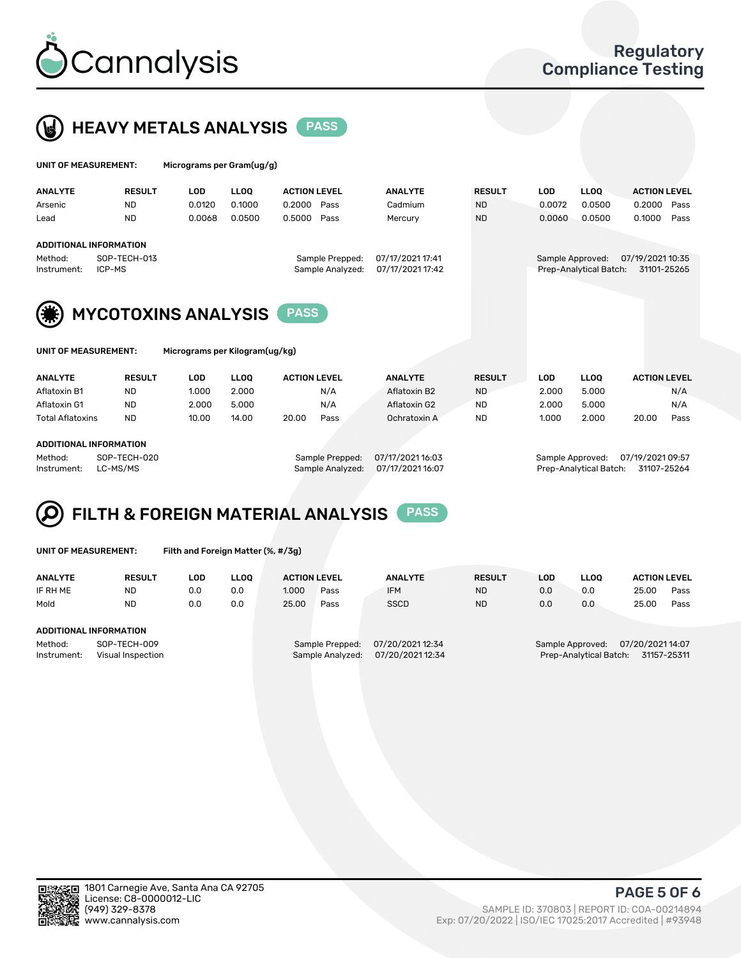



| UNIT OF MEASUREMENT:   |                            | Micrograms per Gram(ug/g) |             |                     |                  |               |            |                        |                     |  |
|------------------------|----------------------------|---------------------------|-------------|---------------------|------------------|---------------|------------|------------------------|---------------------|--|
| <b>ANALYTE</b>         | <b>RESULT</b>              | <b>LOD</b>                | <b>LLOO</b> | <b>ACTION LEVEL</b> | <b>ANALYTE</b>   | <b>RESULT</b> | <b>LOD</b> | <b>LLOO</b>            | <b>ACTION LEVEL</b> |  |
| Arsenic                | <b>ND</b>                  | 0.0120                    | 0.1000      | 0.2000<br>Pass      | Cadmium          | ND.           | 0.0072     | 0.0500                 | 0.2000<br>Pass      |  |
| Lead                   | <b>ND</b>                  | 0.0068                    | 0.0500      | 0.5000<br>Pass      | Mercury          | <b>ND</b>     | 0.0060     | 0.0500                 | 0.1000<br>Pass      |  |
| ADDITIONAL INFORMATION |                            |                           |             |                     |                  |               |            |                        |                     |  |
| Method:                | SOP-TECH-013               |                           |             | Sample Prepped:     | 07/17/2021 17:41 |               |            | Sample Approved:       | 07/19/2021 10:35    |  |
| Instrument:            | ICP-MS                     |                           |             | Sample Analyzed:    | 07/17/2021 17:42 |               |            | Prep-Analytical Batch: | 31101-25265         |  |
|                        |                            |                           |             |                     |                  |               |            |                        |                     |  |
| (纂)                    | <b>MYCOTOXINS ANALYSIS</b> |                           |             | <b>PASS</b>         |                  |               |            |                        |                     |  |
|                        |                            |                           |             |                     |                  |               |            |                        |                     |  |
|                        |                            |                           |             |                     |                  |               |            |                        |                     |  |

|  | UNII UF MEAJUREMENT. | ми |
|--|----------------------|----|
|  |                      |    |
|  |                      |    |

| UNIT OF MEASUREMENT: | Micrograms per Kilogram(ug/kg) |
|----------------------|--------------------------------|
|----------------------|--------------------------------|

| <b>ANALYTE</b>          | <b>RESULT</b> | LOD   | LLOO  | <b>ACTION LEVEL</b> |      | <b>ANALYTE</b> | <b>RESULT</b> | LOD   | <b>LLOO</b> | <b>ACTION LEVEL</b> |      |
|-------------------------|---------------|-------|-------|---------------------|------|----------------|---------------|-------|-------------|---------------------|------|
| Aflatoxin B1            | <b>ND</b>     | 1.000 | 2.000 |                     | N/A  | Aflatoxin B2   | <b>ND</b>     | 2.000 | 5.000       |                     | N/A  |
| Aflatoxin G1            | <b>ND</b>     | 2.000 | 5.000 |                     | N/A  | Aflatoxin G2   | <b>ND</b>     | 2.000 | 5.000       |                     | N/A  |
| <b>Total Aflatoxins</b> | <b>ND</b>     | 10.00 | 14.00 | 20.00               | Pass | Ochratoxin A   | <b>ND</b>     | 1.000 | 2.000       | 20.00               | Pass |
|                         |               |       |       |                     |      |                |               |       |             |                     |      |

#### ADDITIONAL INFORMATION

Method: SOP-TECH-020 Sample Prepped: 07/17/2021 16:03 Sample Approved: 07/19/2021 09:57 Instrument: LC-MS/MS Sample Analyzed: 07/17/2021 16:07 Prep-Analytical Batch: 31107-25264

### FILTH & FOREIGN MATERIAL ANALYSIS PASS Q

UNIT OF MEASUREMENT: Filth and Foreign Matter (%, #/3g)

| <b>ANALYTE</b>                | <b>RESULT</b>                     | LOD | <b>LLOO</b> | <b>ACTION LEVEL</b> |                                     | <b>ANALYTE</b>                       | <b>RESULT</b> | LOD | <b>LLOO</b>            | <b>ACTION LEVEL</b>                              |      |
|-------------------------------|-----------------------------------|-----|-------------|---------------------|-------------------------------------|--------------------------------------|---------------|-----|------------------------|--------------------------------------------------|------|
| IF RH ME                      | <b>ND</b>                         | 0.0 | 0.0         | 1.000               | Pass                                | <b>IFM</b>                           | <b>ND</b>     | 0.0 | 0.0                    | 25.00                                            | Pass |
| Mold                          | <b>ND</b>                         | 0.0 | 0.0         | 25.00               | Pass                                | <b>SSCD</b>                          | <b>ND</b>     | 0.0 | 0.0                    | 25.00                                            | Pass |
| <b>ADDITIONAL INFORMATION</b> |                                   |     |             |                     |                                     |                                      |               |     |                        |                                                  |      |
| Method:<br>Instrument:        | SOP-TECH-009<br>Visual Inspection |     |             |                     | Sample Prepped:<br>Sample Analyzed: | 07/20/2021 12:34<br>07/20/2021 12:34 |               |     | Prep-Analytical Batch: | Sample Approved: 07/20/2021 14:07<br>31157-25311 |      |



PAGE 5 OF 6